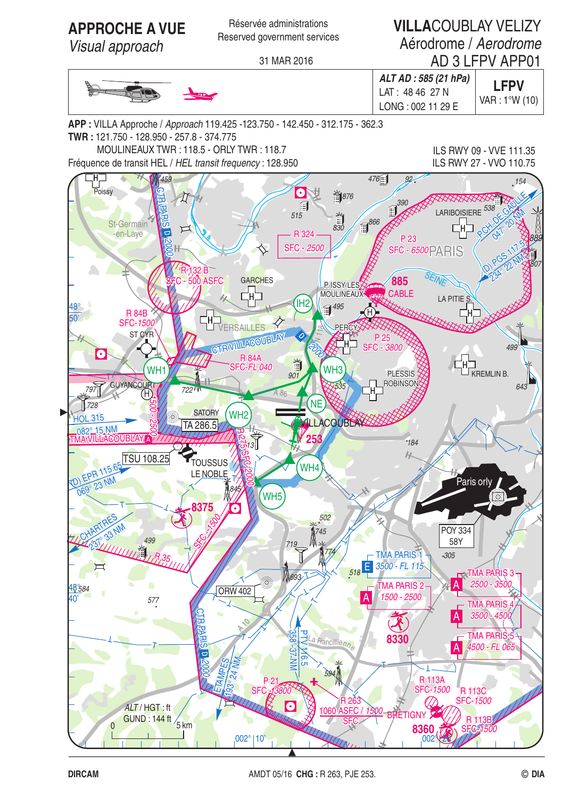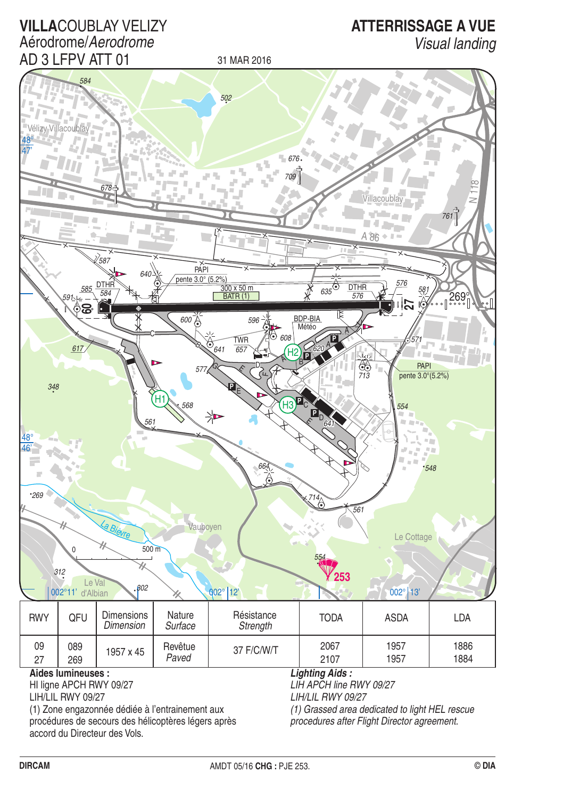

(1) Zone engazonnée dédiée à l'entrainement aux procédures de secours des hélicoptères légers après accord du Directeur des Vols.

**VILLACOUBLAY VELIZY** 

(1) Grassed area dedicated to light HEL rescue procedures after Flight Director agreement.

**ATTERRISSAGE A VUE**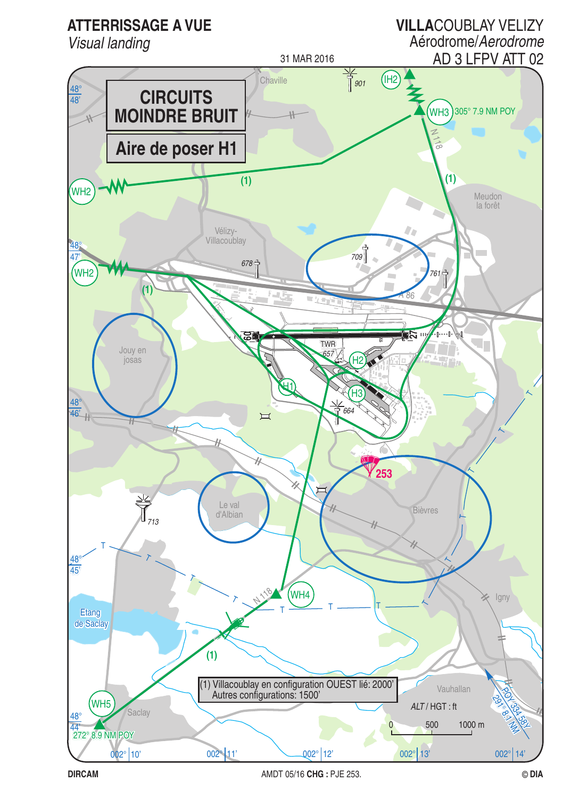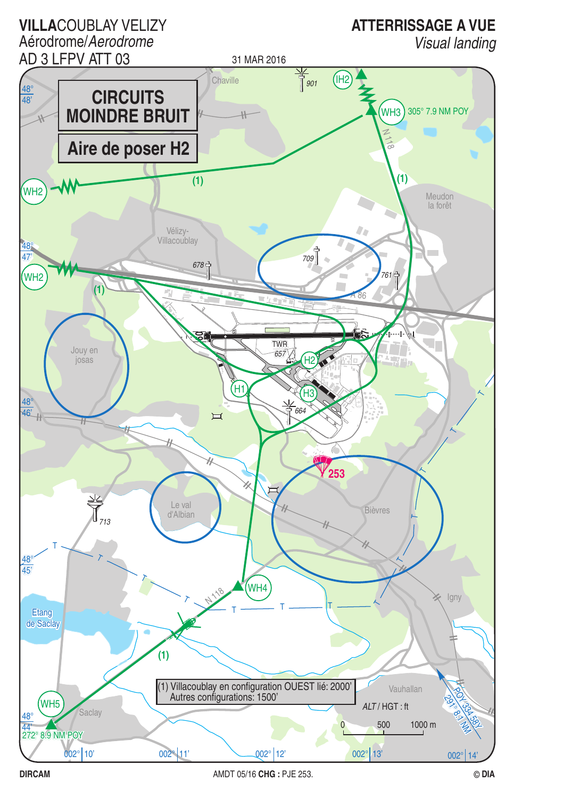

**DIRCAM**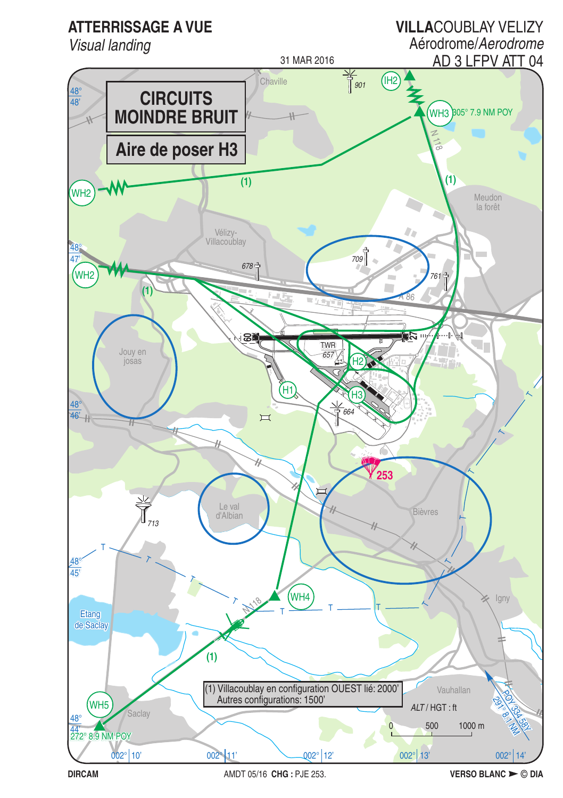

AMDT 05/16 CHG: PJE 253.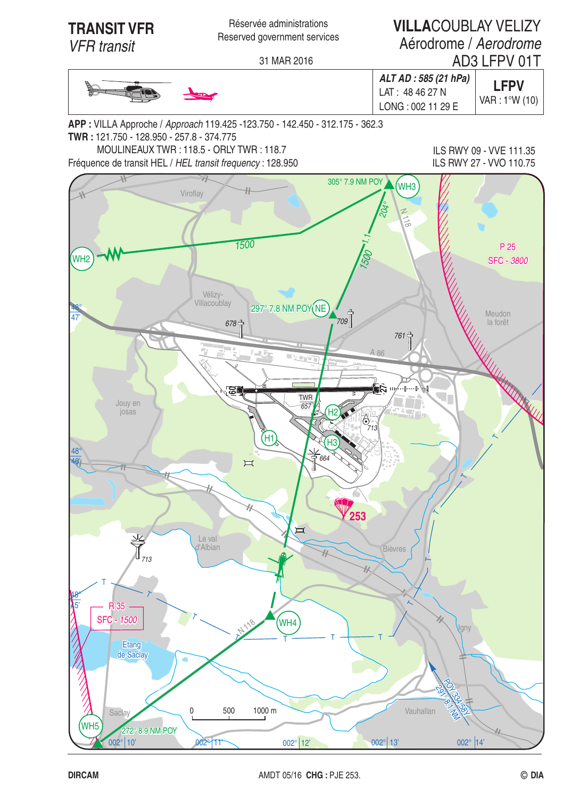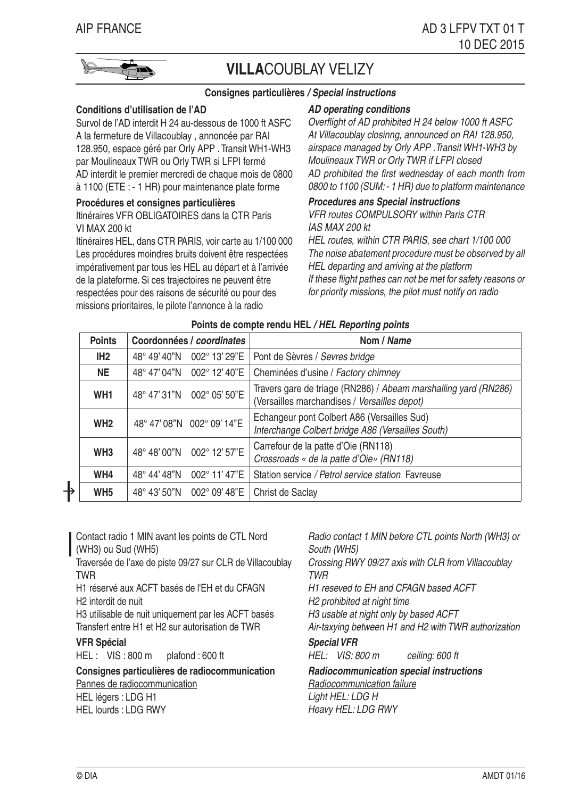

# **VILLA**COUBLAY VELIZY

### **Consignes particulières / Special instructions**

#### **Conditions d'utilisation de l'AD**

Survol de l'AD interdit H 24 au-dessous de 1000 ft ASFC A la fermeture de Villacoublay , annoncée par RAI 128.950, espace géré par Orly APP . Transit WH1-WH3 par Moulineaux TWR ou Orly TWR si LFPI fermé AD interdit le premier mercredi de chaque mois de 0800 à 1100 (ETE : - 1 HR) pour maintenance plate forme

#### **Procédures et consignes particulières**

Itinéraires VFR OBLIGATOIRES dans la CTR Paris VI MAX 200 kt

Itinéraires HEL, dans CTR PARIS, voir carte au 1/100 000 Les procédures moindres bruits doivent être respectées impérativement par tous les HEL au départ et à l'arrivée de la plateforme. Si ces trajectoires ne peuvent être respectées pour des raisons de sécurité ou pour des missions prioritaires, le pilote l'annonce à la radio

### **AD operating conditions**

Overflight of AD prohibited H 24 below 1000 ft ASFC At Villacoublay closinng, announced on RAI 128.950, airspace managed by Orly APP .Transit WH1-WH3 by Moulineaux TWR or Orly TWR if LFPI closed AD prohibited the first wednesday of each month from 0800 to 1100 (SUM: - 1 HR) due to platform maintenance

#### **Procedures ans Special instructions**

VFR routes COMPULSORY within Paris CTR IAS MAX 200 kt

HEL routes, within CTR PARIS, see chart 1/100 000 The noise abatement procedure must be observed by all HEL departing and arriving at the platform If these flight pathes can not be met for safety reasons or for priority missions, the pilot must notify on radio

| <b>Points</b>   | Coordonnées / coordinates |                            | Nom / Name                                                                                                      |
|-----------------|---------------------------|----------------------------|-----------------------------------------------------------------------------------------------------------------|
| IH <sub>2</sub> | 48° 49' 40"N              | 002° 13' 29"E              | Pont de Sèvres / Sevres bridge                                                                                  |
| <b>NE</b>       | 48° 47' 04"N              | 002° 12' 40"E              | Cheminées d'usine / Factory chimney                                                                             |
| WH <sub>1</sub> |                           | 48° 47' 31"N 002° 05' 50"E | Travers gare de triage (RN286) / Abeam marshalling yard (RN286)<br>(Versailles marchandises / Versailles depot) |
| WH <sub>2</sub> |                           | 48° 47' 08"N 002° 09' 14"E | Echangeur pont Colbert A86 (Versailles Sud)<br>Interchange Colbert bridge A86 (Versailles South)                |
| WH <sub>3</sub> |                           | 48°48'00"N 002°12'57"E     | Carrefour de la patte d'Oie (RN118)<br>Crossroads « de la patte d'Oie» (RN118)                                  |
| WH4             | 48° 44' 48"N              | 002° 11' 47"E              | Station service / Petrol service station Favreuse                                                               |
| WH <sub>5</sub> | 48° 43' 50"N              | 002° 09' 48"E              | Christ de Saclay                                                                                                |

#### **Points de compte rendu HEL / HEL Reporting points**

Contact radio 1 MIN avant les points de CTL Nord (WH3) ou Sud (WH5) Traversée de l'axe de piste 09/27 sur CLR de Villacoublay TWR H1 réservé aux ACFT basés de l'EH et du CFAGN H2 interdit de nuit H3 utilisable de nuit uniquement par les ACFT basés Transfert entre H1 et H2 sur autorisation de TWR **VFR Spécial** HEL : VIS : 800 m plafond : 600 ft

**Consignes particulières de radiocommunication** Pannes de radiocommunication HEL légers : LDG H1 HEL lourds : LDG RWY

Radio contact 1 MIN before CTL points North (WH3) or South (WH5) Crossing RWY 09/27 axis with CLR from Villacoublay TWR H1 reseved to EH and CFAGN based ACFT H2 prohibited at night time H3 usable at night only by based ACFT Air-taxying between H1 and H2 with TWR authorization **Special VFR** HEL: VIS: 800 m ceiling: 600 ft **Radiocommunication special instructions** Radiocommunication failure

Light HEL: LDG H Heavy HEL: LDG RWY

╊